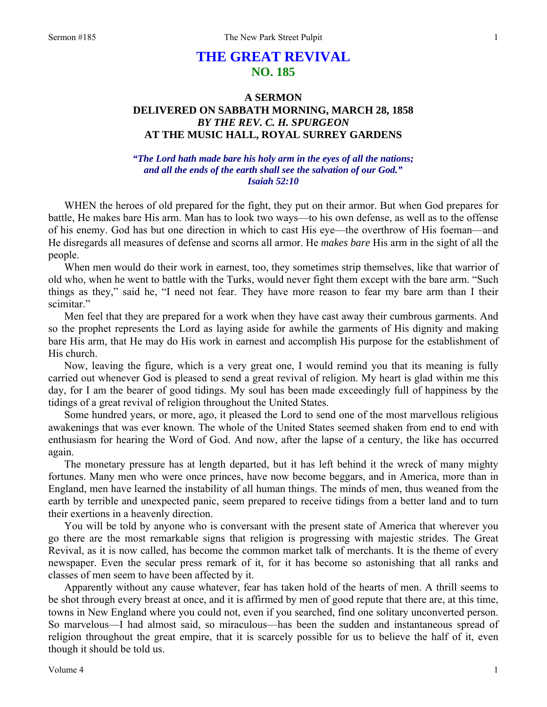# **THE GREAT REVIVAL NO. 185**

# **A SERMON DELIVERED ON SABBATH MORNING, MARCH 28, 1858**  *BY THE REV. C. H. SPURGEON*  **AT THE MUSIC HALL, ROYAL SURREY GARDENS**

## *"The Lord hath made bare his holy arm in the eyes of all the nations; and all the ends of the earth shall see the salvation of our God." Isaiah 52:10*

WHEN the heroes of old prepared for the fight, they put on their armor. But when God prepares for battle, He makes bare His arm. Man has to look two ways—to his own defense, as well as to the offense of his enemy. God has but one direction in which to cast His eye—the overthrow of His foeman—and He disregards all measures of defense and scorns all armor. He *makes bare* His arm in the sight of all the people.

When men would do their work in earnest, too, they sometimes strip themselves, like that warrior of old who, when he went to battle with the Turks, would never fight them except with the bare arm. "Such things as they," said he, "I need not fear. They have more reason to fear my bare arm than I their scimitar."

Men feel that they are prepared for a work when they have cast away their cumbrous garments. And so the prophet represents the Lord as laying aside for awhile the garments of His dignity and making bare His arm, that He may do His work in earnest and accomplish His purpose for the establishment of His church.

Now, leaving the figure, which is a very great one, I would remind you that its meaning is fully carried out whenever God is pleased to send a great revival of religion. My heart is glad within me this day, for I am the bearer of good tidings. My soul has been made exceedingly full of happiness by the tidings of a great revival of religion throughout the United States.

Some hundred years, or more, ago, it pleased the Lord to send one of the most marvellous religious awakenings that was ever known. The whole of the United States seemed shaken from end to end with enthusiasm for hearing the Word of God. And now, after the lapse of a century, the like has occurred again.

The monetary pressure has at length departed, but it has left behind it the wreck of many mighty fortunes. Many men who were once princes, have now become beggars, and in America, more than in England, men have learned the instability of all human things. The minds of men, thus weaned from the earth by terrible and unexpected panic, seem prepared to receive tidings from a better land and to turn their exertions in a heavenly direction.

You will be told by anyone who is conversant with the present state of America that wherever you go there are the most remarkable signs that religion is progressing with majestic strides. The Great Revival, as it is now called, has become the common market talk of merchants. It is the theme of every newspaper. Even the secular press remark of it, for it has become so astonishing that all ranks and classes of men seem to have been affected by it.

Apparently without any cause whatever, fear has taken hold of the hearts of men. A thrill seems to be shot through every breast at once, and it is affirmed by men of good repute that there are, at this time, towns in New England where you could not, even if you searched, find one solitary unconverted person. So marvelous—I had almost said, so miraculous—has been the sudden and instantaneous spread of religion throughout the great empire, that it is scarcely possible for us to believe the half of it, even though it should be told us.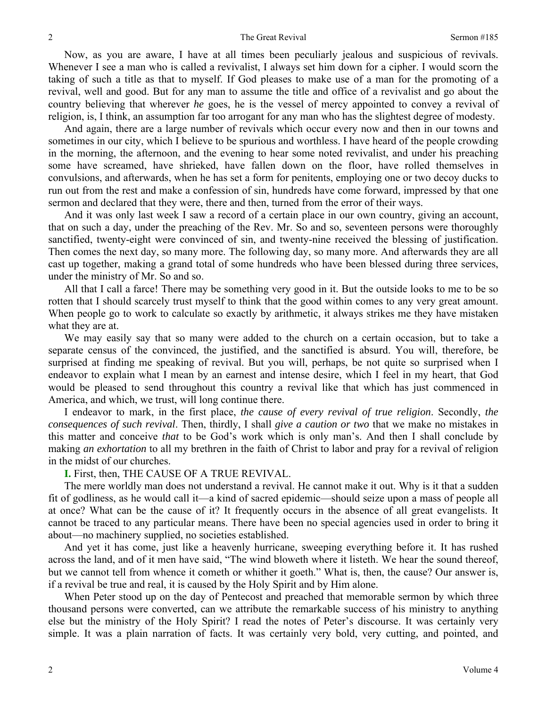Now, as you are aware, I have at all times been peculiarly jealous and suspicious of revivals. Whenever I see a man who is called a revivalist, I always set him down for a cipher. I would scorn the taking of such a title as that to myself. If God pleases to make use of a man for the promoting of a revival, well and good. But for any man to assume the title and office of a revivalist and go about the country believing that wherever *he* goes, he is the vessel of mercy appointed to convey a revival of religion, is, I think, an assumption far too arrogant for any man who has the slightest degree of modesty.

And again, there are a large number of revivals which occur every now and then in our towns and sometimes in our city, which I believe to be spurious and worthless. I have heard of the people crowding in the morning, the afternoon, and the evening to hear some noted revivalist, and under his preaching some have screamed, have shrieked, have fallen down on the floor, have rolled themselves in convulsions, and afterwards, when he has set a form for penitents, employing one or two decoy ducks to run out from the rest and make a confession of sin, hundreds have come forward, impressed by that one sermon and declared that they were, there and then, turned from the error of their ways.

And it was only last week I saw a record of a certain place in our own country, giving an account, that on such a day, under the preaching of the Rev. Mr. So and so, seventeen persons were thoroughly sanctified, twenty-eight were convinced of sin, and twenty-nine received the blessing of justification. Then comes the next day, so many more. The following day, so many more. And afterwards they are all cast up together, making a grand total of some hundreds who have been blessed during three services, under the ministry of Mr. So and so.

All that I call a farce! There may be something very good in it. But the outside looks to me to be so rotten that I should scarcely trust myself to think that the good within comes to any very great amount. When people go to work to calculate so exactly by arithmetic, it always strikes me they have mistaken what they are at.

We may easily say that so many were added to the church on a certain occasion, but to take a separate census of the convinced, the justified, and the sanctified is absurd. You will, therefore, be surprised at finding me speaking of revival. But you will, perhaps, be not quite so surprised when I endeavor to explain what I mean by an earnest and intense desire, which I feel in my heart, that God would be pleased to send throughout this country a revival like that which has just commenced in America, and which, we trust, will long continue there.

I endeavor to mark, in the first place, *the cause of every revival of true religion*. Secondly, *the consequences of such revival*. Then, thirdly, I shall *give a caution or two* that we make no mistakes in this matter and conceive *that* to be God's work which is only man's. And then I shall conclude by making *an exhortation* to all my brethren in the faith of Christ to labor and pray for a revival of religion in the midst of our churches.

**I.** First, then, THE CAUSE OF A TRUE REVIVAL.

The mere worldly man does not understand a revival. He cannot make it out. Why is it that a sudden fit of godliness, as he would call it—a kind of sacred epidemic—should seize upon a mass of people all at once? What can be the cause of it? It frequently occurs in the absence of all great evangelists. It cannot be traced to any particular means. There have been no special agencies used in order to bring it about—no machinery supplied, no societies established.

And yet it has come, just like a heavenly hurricane, sweeping everything before it. It has rushed across the land, and of it men have said, "The wind bloweth where it listeth. We hear the sound thereof, but we cannot tell from whence it cometh or whither it goeth." What is, then, the cause? Our answer is, if a revival be true and real, it is caused by the Holy Spirit and by Him alone.

When Peter stood up on the day of Pentecost and preached that memorable sermon by which three thousand persons were converted, can we attribute the remarkable success of his ministry to anything else but the ministry of the Holy Spirit? I read the notes of Peter's discourse. It was certainly very simple. It was a plain narration of facts. It was certainly very bold, very cutting, and pointed, and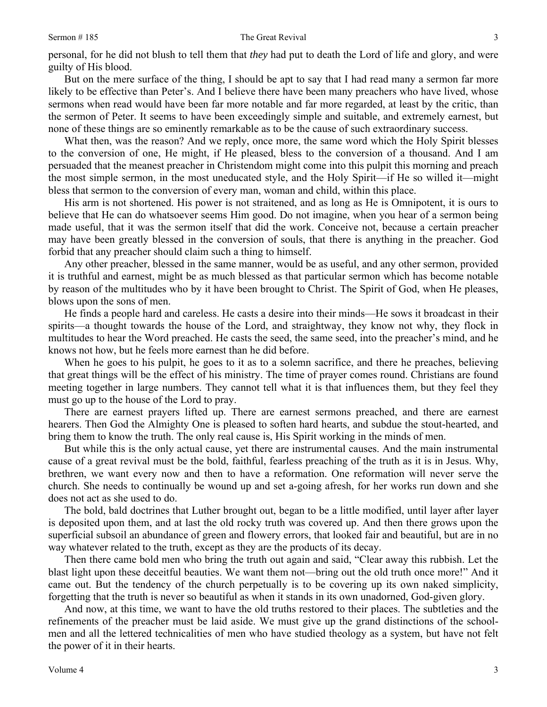#### Sermon # 185 The Great Revival

personal, for he did not blush to tell them that *they* had put to death the Lord of life and glory, and were guilty of His blood.

But on the mere surface of the thing, I should be apt to say that I had read many a sermon far more likely to be effective than Peter's. And I believe there have been many preachers who have lived, whose sermons when read would have been far more notable and far more regarded, at least by the critic, than the sermon of Peter. It seems to have been exceedingly simple and suitable, and extremely earnest, but none of these things are so eminently remarkable as to be the cause of such extraordinary success.

What then, was the reason? And we reply, once more, the same word which the Holy Spirit blesses to the conversion of one, He might, if He pleased, bless to the conversion of a thousand. And I am persuaded that the meanest preacher in Christendom might come into this pulpit this morning and preach the most simple sermon, in the most uneducated style, and the Holy Spirit—if He so willed it—might bless that sermon to the conversion of every man, woman and child, within this place.

His arm is not shortened. His power is not straitened, and as long as He is Omnipotent, it is ours to believe that He can do whatsoever seems Him good. Do not imagine, when you hear of a sermon being made useful, that it was the sermon itself that did the work. Conceive not, because a certain preacher may have been greatly blessed in the conversion of souls, that there is anything in the preacher. God forbid that any preacher should claim such a thing to himself.

Any other preacher, blessed in the same manner, would be as useful, and any other sermon, provided it is truthful and earnest, might be as much blessed as that particular sermon which has become notable by reason of the multitudes who by it have been brought to Christ. The Spirit of God, when He pleases, blows upon the sons of men.

He finds a people hard and careless. He casts a desire into their minds—He sows it broadcast in their spirits—a thought towards the house of the Lord, and straightway, they know not why, they flock in multitudes to hear the Word preached. He casts the seed, the same seed, into the preacher's mind, and he knows not how, but he feels more earnest than he did before.

When he goes to his pulpit, he goes to it as to a solemn sacrifice, and there he preaches, believing that great things will be the effect of his ministry. The time of prayer comes round. Christians are found meeting together in large numbers. They cannot tell what it is that influences them, but they feel they must go up to the house of the Lord to pray.

There are earnest prayers lifted up. There are earnest sermons preached, and there are earnest hearers. Then God the Almighty One is pleased to soften hard hearts, and subdue the stout-hearted, and bring them to know the truth. The only real cause is, His Spirit working in the minds of men.

But while this is the only actual cause, yet there are instrumental causes. And the main instrumental cause of a great revival must be the bold, faithful, fearless preaching of the truth as it is in Jesus. Why, brethren, we want every now and then to have a reformation. One reformation will never serve the church. She needs to continually be wound up and set a-going afresh, for her works run down and she does not act as she used to do.

The bold, bald doctrines that Luther brought out, began to be a little modified, until layer after layer is deposited upon them, and at last the old rocky truth was covered up. And then there grows upon the superficial subsoil an abundance of green and flowery errors, that looked fair and beautiful, but are in no way whatever related to the truth, except as they are the products of its decay.

Then there came bold men who bring the truth out again and said, "Clear away this rubbish. Let the blast light upon these deceitful beauties. We want them not—bring out the old truth once more!" And it came out. But the tendency of the church perpetually is to be covering up its own naked simplicity, forgetting that the truth is never so beautiful as when it stands in its own unadorned, God-given glory.

And now, at this time, we want to have the old truths restored to their places. The subtleties and the refinements of the preacher must be laid aside. We must give up the grand distinctions of the schoolmen and all the lettered technicalities of men who have studied theology as a system, but have not felt the power of it in their hearts.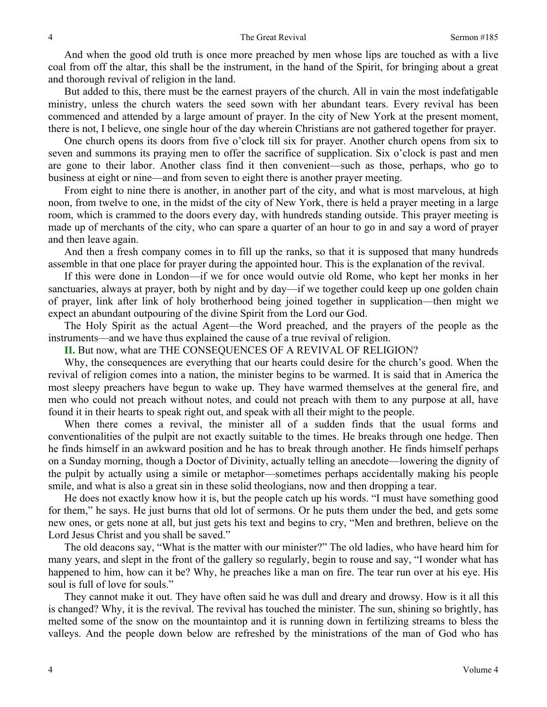And when the good old truth is once more preached by men whose lips are touched as with a live coal from off the altar, this shall be the instrument, in the hand of the Spirit, for bringing about a great and thorough revival of religion in the land.

But added to this, there must be the earnest prayers of the church. All in vain the most indefatigable ministry, unless the church waters the seed sown with her abundant tears. Every revival has been commenced and attended by a large amount of prayer. In the city of New York at the present moment, there is not, I believe, one single hour of the day wherein Christians are not gathered together for prayer.

One church opens its doors from five o'clock till six for prayer. Another church opens from six to seven and summons its praying men to offer the sacrifice of supplication. Six o'clock is past and men are gone to their labor. Another class find it then convenient—such as those, perhaps, who go to business at eight or nine—and from seven to eight there is another prayer meeting.

From eight to nine there is another, in another part of the city, and what is most marvelous, at high noon, from twelve to one, in the midst of the city of New York, there is held a prayer meeting in a large room, which is crammed to the doors every day, with hundreds standing outside. This prayer meeting is made up of merchants of the city, who can spare a quarter of an hour to go in and say a word of prayer and then leave again.

And then a fresh company comes in to fill up the ranks, so that it is supposed that many hundreds assemble in that one place for prayer during the appointed hour. This is the explanation of the revival.

If this were done in London—if we for once would outvie old Rome, who kept her monks in her sanctuaries, always at prayer, both by night and by day—if we together could keep up one golden chain of prayer, link after link of holy brotherhood being joined together in supplication—then might we expect an abundant outpouring of the divine Spirit from the Lord our God.

The Holy Spirit as the actual Agent—the Word preached, and the prayers of the people as the instruments—and we have thus explained the cause of a true revival of religion.

**II.** But now, what are THE CONSEQUENCES OF A REVIVAL OF RELIGION?

Why, the consequences are everything that our hearts could desire for the church's good. When the revival of religion comes into a nation, the minister begins to be warmed. It is said that in America the most sleepy preachers have begun to wake up. They have warmed themselves at the general fire, and men who could not preach without notes, and could not preach with them to any purpose at all, have found it in their hearts to speak right out, and speak with all their might to the people.

When there comes a revival, the minister all of a sudden finds that the usual forms and conventionalities of the pulpit are not exactly suitable to the times. He breaks through one hedge. Then he finds himself in an awkward position and he has to break through another. He finds himself perhaps on a Sunday morning, though a Doctor of Divinity, actually telling an anecdote—lowering the dignity of the pulpit by actually using a simile or metaphor—sometimes perhaps accidentally making his people smile, and what is also a great sin in these solid theologians, now and then dropping a tear.

He does not exactly know how it is, but the people catch up his words. "I must have something good for them," he says. He just burns that old lot of sermons. Or he puts them under the bed, and gets some new ones, or gets none at all, but just gets his text and begins to cry, "Men and brethren, believe on the Lord Jesus Christ and you shall be saved."

The old deacons say, "What is the matter with our minister?" The old ladies, who have heard him for many years, and slept in the front of the gallery so regularly, begin to rouse and say, "I wonder what has happened to him, how can it be? Why, he preaches like a man on fire. The tear run over at his eye. His soul is full of love for souls."

They cannot make it out. They have often said he was dull and dreary and drowsy. How is it all this is changed? Why, it is the revival. The revival has touched the minister. The sun, shining so brightly, has melted some of the snow on the mountaintop and it is running down in fertilizing streams to bless the valleys. And the people down below are refreshed by the ministrations of the man of God who has

4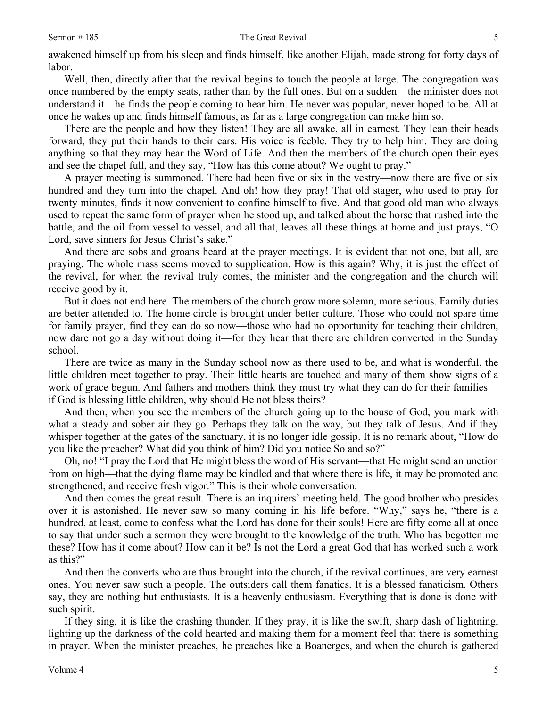awakened himself up from his sleep and finds himself, like another Elijah, made strong for forty days of labor.

Well, then, directly after that the revival begins to touch the people at large. The congregation was once numbered by the empty seats, rather than by the full ones. But on a sudden—the minister does not understand it—he finds the people coming to hear him. He never was popular, never hoped to be. All at once he wakes up and finds himself famous, as far as a large congregation can make him so.

There are the people and how they listen! They are all awake, all in earnest. They lean their heads forward, they put their hands to their ears. His voice is feeble. They try to help him. They are doing anything so that they may hear the Word of Life. And then the members of the church open their eyes and see the chapel full, and they say, "How has this come about? We ought to pray."

A prayer meeting is summoned. There had been five or six in the vestry—now there are five or six hundred and they turn into the chapel. And oh! how they pray! That old stager, who used to pray for twenty minutes, finds it now convenient to confine himself to five. And that good old man who always used to repeat the same form of prayer when he stood up, and talked about the horse that rushed into the battle, and the oil from vessel to vessel, and all that, leaves all these things at home and just prays, "O Lord, save sinners for Jesus Christ's sake."

And there are sobs and groans heard at the prayer meetings. It is evident that not one, but all, are praying. The whole mass seems moved to supplication. How is this again? Why, it is just the effect of the revival, for when the revival truly comes, the minister and the congregation and the church will receive good by it.

But it does not end here. The members of the church grow more solemn, more serious. Family duties are better attended to. The home circle is brought under better culture. Those who could not spare time for family prayer, find they can do so now—those who had no opportunity for teaching their children, now dare not go a day without doing it—for they hear that there are children converted in the Sunday school.

There are twice as many in the Sunday school now as there used to be, and what is wonderful, the little children meet together to pray. Their little hearts are touched and many of them show signs of a work of grace begun. And fathers and mothers think they must try what they can do for their families if God is blessing little children, why should He not bless theirs?

And then, when you see the members of the church going up to the house of God, you mark with what a steady and sober air they go. Perhaps they talk on the way, but they talk of Jesus. And if they whisper together at the gates of the sanctuary, it is no longer idle gossip. It is no remark about, "How do you like the preacher? What did you think of him? Did you notice So and so?"

Oh, no! "I pray the Lord that He might bless the word of His servant—that He might send an unction from on high—that the dying flame may be kindled and that where there is life, it may be promoted and strengthened, and receive fresh vigor." This is their whole conversation.

And then comes the great result. There is an inquirers' meeting held. The good brother who presides over it is astonished. He never saw so many coming in his life before. "Why," says he, "there is a hundred, at least, come to confess what the Lord has done for their souls! Here are fifty come all at once to say that under such a sermon they were brought to the knowledge of the truth. Who has begotten me these? How has it come about? How can it be? Is not the Lord a great God that has worked such a work as this?"

And then the converts who are thus brought into the church, if the revival continues, are very earnest ones. You never saw such a people. The outsiders call them fanatics. It is a blessed fanaticism. Others say, they are nothing but enthusiasts. It is a heavenly enthusiasm. Everything that is done is done with such spirit.

If they sing, it is like the crashing thunder. If they pray, it is like the swift, sharp dash of lightning, lighting up the darkness of the cold hearted and making them for a moment feel that there is something in prayer. When the minister preaches, he preaches like a Boanerges, and when the church is gathered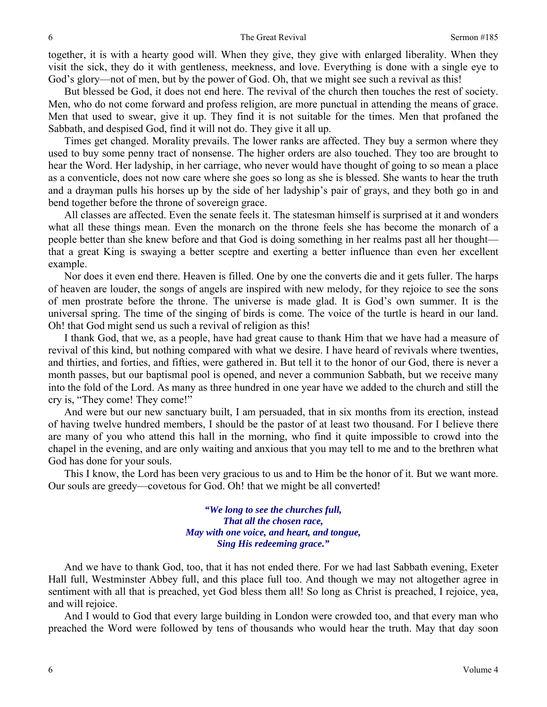together, it is with a hearty good will. When they give, they give with enlarged liberality. When they visit the sick, they do it with gentleness, meekness, and love. Everything is done with a single eye to God's glory—not of men, but by the power of God. Oh, that we might see such a revival as this!

But blessed be God, it does not end here. The revival of the church then touches the rest of society. Men, who do not come forward and profess religion, are more punctual in attending the means of grace. Men that used to swear, give it up. They find it is not suitable for the times. Men that profaned the Sabbath, and despised God, find it will not do. They give it all up.

Times get changed. Morality prevails. The lower ranks are affected. They buy a sermon where they used to buy some penny tract of nonsense. The higher orders are also touched. They too are brought to hear the Word. Her ladyship, in her carriage, who never would have thought of going to so mean a place as a conventicle, does not now care where she goes so long as she is blessed. She wants to hear the truth and a drayman pulls his horses up by the side of her ladyship's pair of grays, and they both go in and bend together before the throne of sovereign grace.

All classes are affected. Even the senate feels it. The statesman himself is surprised at it and wonders what all these things mean. Even the monarch on the throne feels she has become the monarch of a people better than she knew before and that God is doing something in her realms past all her thought that a great King is swaying a better sceptre and exerting a better influence than even her excellent example.

Nor does it even end there. Heaven is filled. One by one the converts die and it gets fuller. The harps of heaven are louder, the songs of angels are inspired with new melody, for they rejoice to see the sons of men prostrate before the throne. The universe is made glad. It is God's own summer. It is the universal spring. The time of the singing of birds is come. The voice of the turtle is heard in our land. Oh! that God might send us such a revival of religion as this!

I thank God, that we, as a people, have had great cause to thank Him that we have had a measure of revival of this kind, but nothing compared with what we desire. I have heard of revivals where twenties, and thirties, and forties, and fifties, were gathered in. But tell it to the honor of our God, there is never a month passes, but our baptismal pool is opened, and never a communion Sabbath, but we receive many into the fold of the Lord. As many as three hundred in one year have we added to the church and still the cry is, "They come! They come!"

And were but our new sanctuary built, I am persuaded, that in six months from its erection, instead of having twelve hundred members, I should be the pastor of at least two thousand. For I believe there are many of you who attend this hall in the morning, who find it quite impossible to crowd into the chapel in the evening, and are only waiting and anxious that you may tell to me and to the brethren what God has done for your souls.

This I know, the Lord has been very gracious to us and to Him be the honor of it. But we want more. Our souls are greedy—covetous for God. Oh! that we might be all converted!

> *"We long to see the churches full, That all the chosen race, May with one voice, and heart, and tongue, Sing His redeeming grace."*

And we have to thank God, too, that it has not ended there. For we had last Sabbath evening, Exeter Hall full, Westminster Abbey full, and this place full too. And though we may not altogether agree in sentiment with all that is preached, yet God bless them all! So long as Christ is preached, I rejoice, yea, and will rejoice.

And I would to God that every large building in London were crowded too, and that every man who preached the Word were followed by tens of thousands who would hear the truth. May that day soon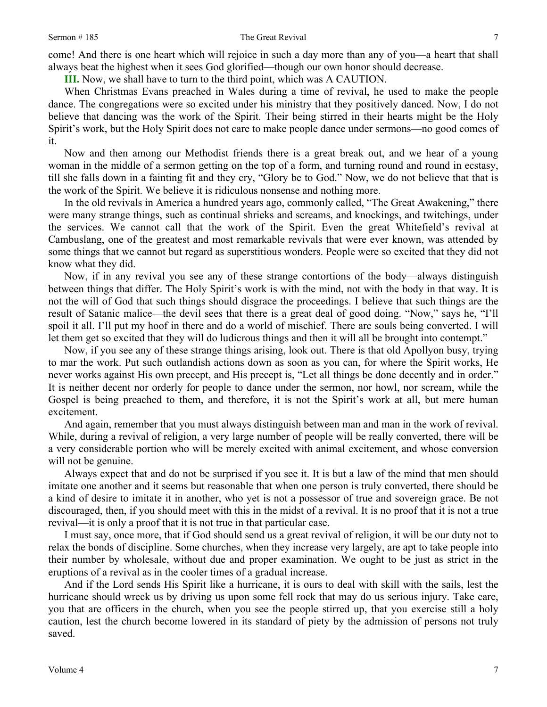#### Sermon # 185 The Great Revival

come! And there is one heart which will rejoice in such a day more than any of you—a heart that shall always beat the highest when it sees God glorified—though our own honor should decrease.

**III.** Now, we shall have to turn to the third point, which was A CAUTION.

When Christmas Evans preached in Wales during a time of revival, he used to make the people dance. The congregations were so excited under his ministry that they positively danced. Now, I do not believe that dancing was the work of the Spirit. Their being stirred in their hearts might be the Holy Spirit's work, but the Holy Spirit does not care to make people dance under sermons—no good comes of it.

Now and then among our Methodist friends there is a great break out, and we hear of a young woman in the middle of a sermon getting on the top of a form, and turning round and round in ecstasy, till she falls down in a fainting fit and they cry, "Glory be to God." Now, we do not believe that that is the work of the Spirit. We believe it is ridiculous nonsense and nothing more.

In the old revivals in America a hundred years ago, commonly called, "The Great Awakening," there were many strange things, such as continual shrieks and screams, and knockings, and twitchings, under the services. We cannot call that the work of the Spirit. Even the great Whitefield's revival at Cambuslang, one of the greatest and most remarkable revivals that were ever known, was attended by some things that we cannot but regard as superstitious wonders. People were so excited that they did not know what they did.

Now, if in any revival you see any of these strange contortions of the body—always distinguish between things that differ. The Holy Spirit's work is with the mind, not with the body in that way. It is not the will of God that such things should disgrace the proceedings. I believe that such things are the result of Satanic malice—the devil sees that there is a great deal of good doing. "Now," says he, "I'll spoil it all. I'll put my hoof in there and do a world of mischief. There are souls being converted. I will let them get so excited that they will do ludicrous things and then it will all be brought into contempt."

Now, if you see any of these strange things arising, look out. There is that old Apollyon busy, trying to mar the work. Put such outlandish actions down as soon as you can, for where the Spirit works, He never works against His own precept, and His precept is, "Let all things be done decently and in order." It is neither decent nor orderly for people to dance under the sermon, nor howl, nor scream, while the Gospel is being preached to them, and therefore, it is not the Spirit's work at all, but mere human excitement.

And again, remember that you must always distinguish between man and man in the work of revival. While, during a revival of religion, a very large number of people will be really converted, there will be a very considerable portion who will be merely excited with animal excitement, and whose conversion will not be genuine.

Always expect that and do not be surprised if you see it. It is but a law of the mind that men should imitate one another and it seems but reasonable that when one person is truly converted, there should be a kind of desire to imitate it in another, who yet is not a possessor of true and sovereign grace. Be not discouraged, then, if you should meet with this in the midst of a revival. It is no proof that it is not a true revival—it is only a proof that it is not true in that particular case.

I must say, once more, that if God should send us a great revival of religion, it will be our duty not to relax the bonds of discipline. Some churches, when they increase very largely, are apt to take people into their number by wholesale, without due and proper examination. We ought to be just as strict in the eruptions of a revival as in the cooler times of a gradual increase.

And if the Lord sends His Spirit like a hurricane, it is ours to deal with skill with the sails, lest the hurricane should wreck us by driving us upon some fell rock that may do us serious injury. Take care, you that are officers in the church, when you see the people stirred up, that you exercise still a holy caution, lest the church become lowered in its standard of piety by the admission of persons not truly saved.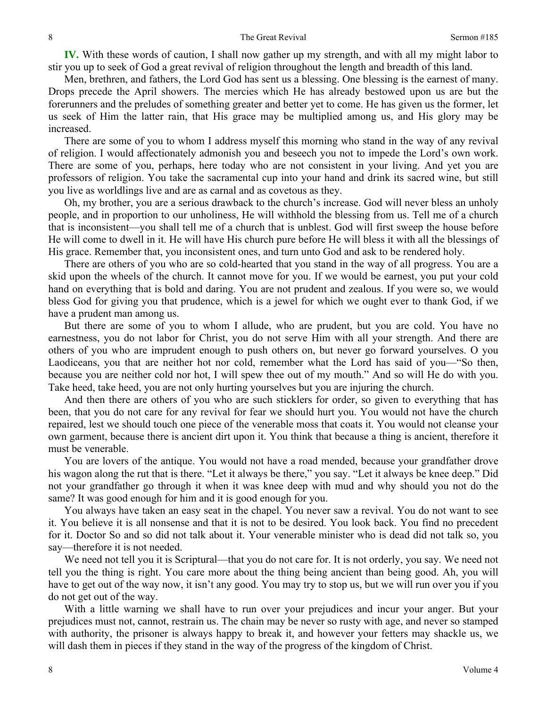**IV.** With these words of caution, I shall now gather up my strength, and with all my might labor to stir you up to seek of God a great revival of religion throughout the length and breadth of this land.

Men, brethren, and fathers, the Lord God has sent us a blessing. One blessing is the earnest of many. Drops precede the April showers. The mercies which He has already bestowed upon us are but the forerunners and the preludes of something greater and better yet to come. He has given us the former, let us seek of Him the latter rain, that His grace may be multiplied among us, and His glory may be increased.

There are some of you to whom I address myself this morning who stand in the way of any revival of religion. I would affectionately admonish you and beseech you not to impede the Lord's own work. There are some of you, perhaps, here today who are not consistent in your living. And yet you are professors of religion. You take the sacramental cup into your hand and drink its sacred wine, but still you live as worldlings live and are as carnal and as covetous as they.

Oh, my brother, you are a serious drawback to the church's increase. God will never bless an unholy people, and in proportion to our unholiness, He will withhold the blessing from us. Tell me of a church that is inconsistent—you shall tell me of a church that is unblest. God will first sweep the house before He will come to dwell in it. He will have His church pure before He will bless it with all the blessings of His grace. Remember that, you inconsistent ones, and turn unto God and ask to be rendered holy.

There are others of you who are so cold-hearted that you stand in the way of all progress. You are a skid upon the wheels of the church. It cannot move for you. If we would be earnest, you put your cold hand on everything that is bold and daring. You are not prudent and zealous. If you were so, we would bless God for giving you that prudence, which is a jewel for which we ought ever to thank God, if we have a prudent man among us.

But there are some of you to whom I allude, who are prudent, but you are cold. You have no earnestness, you do not labor for Christ, you do not serve Him with all your strength. And there are others of you who are imprudent enough to push others on, but never go forward yourselves. O you Laodiceans, you that are neither hot nor cold, remember what the Lord has said of you—"So then, because you are neither cold nor hot, I will spew thee out of my mouth." And so will He do with you. Take heed, take heed, you are not only hurting yourselves but you are injuring the church.

And then there are others of you who are such sticklers for order, so given to everything that has been, that you do not care for any revival for fear we should hurt you. You would not have the church repaired, lest we should touch one piece of the venerable moss that coats it. You would not cleanse your own garment, because there is ancient dirt upon it. You think that because a thing is ancient, therefore it must be venerable.

You are lovers of the antique. You would not have a road mended, because your grandfather drove his wagon along the rut that is there. "Let it always be there," you say. "Let it always be knee deep." Did not your grandfather go through it when it was knee deep with mud and why should you not do the same? It was good enough for him and it is good enough for you.

You always have taken an easy seat in the chapel. You never saw a revival. You do not want to see it. You believe it is all nonsense and that it is not to be desired. You look back. You find no precedent for it. Doctor So and so did not talk about it. Your venerable minister who is dead did not talk so, you say—therefore it is not needed.

We need not tell you it is Scriptural—that you do not care for. It is not orderly, you say. We need not tell you the thing is right. You care more about the thing being ancient than being good. Ah, you will have to get out of the way now, it isn't any good. You may try to stop us, but we will run over you if you do not get out of the way.

With a little warning we shall have to run over your prejudices and incur your anger. But your prejudices must not, cannot, restrain us. The chain may be never so rusty with age, and never so stamped with authority, the prisoner is always happy to break it, and however your fetters may shackle us, we will dash them in pieces if they stand in the way of the progress of the kingdom of Christ.